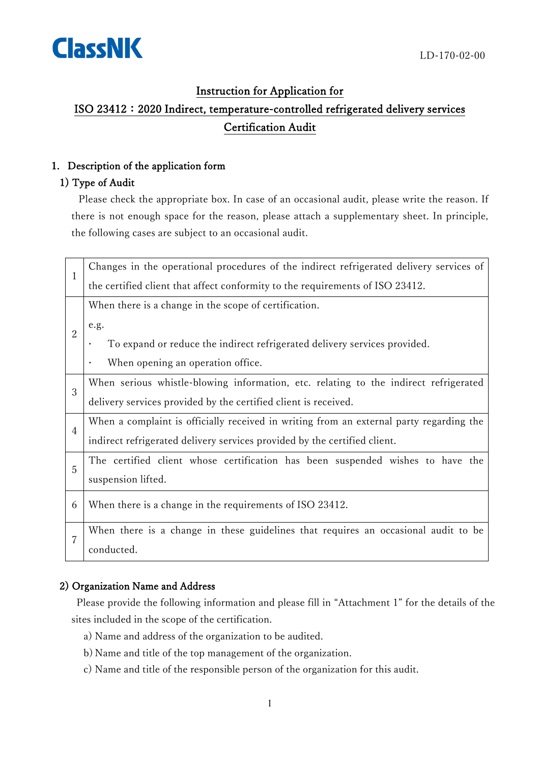

## Instruction for Application for

# ISO 23412:2020 Indirect, temperature-controlled refrigerated delivery services Certification Audit

### 1. Description of the application form

### 1) Type of Audit

Please check the appropriate box. In case of an occasional audit, please write the reason. If there is not enough space for the reason, please attach a supplementary sheet. In principle, the following cases are subject to an occasional audit.

| 1              | Changes in the operational procedures of the indirect refrigerated delivery services of |
|----------------|-----------------------------------------------------------------------------------------|
|                | the certified client that affect conformity to the requirements of ISO 23412.           |
| $\overline{2}$ | When there is a change in the scope of certification.                                   |
|                | e.g.                                                                                    |
|                | To expand or reduce the indirect refrigerated delivery services provided.               |
|                | When opening an operation office.<br>$\bullet$                                          |
| 3              | When serious whistle-blowing information, etc. relating to the indirect refrigerated    |
|                | delivery services provided by the certified client is received.                         |
| $\overline{4}$ | When a complaint is officially received in writing from an external party regarding the |
|                | indirect refrigerated delivery services provided by the certified client.               |
| 5              | The certified client whose certification has been suspended wishes to have the          |
|                | suspension lifted.                                                                      |
| 6              | When there is a change in the requirements of ISO 23412.                                |
|                |                                                                                         |
| 7              | When there is a change in these guidelines that requires an occasional audit to be      |
|                | conducted.                                                                              |

### 2) Organization Name and Address

Please provide the following information and please fill in "Attachment 1" for the details of the sites included in the scope of the certification.

- a) Name and address of the organization to be audited.
- b) Name and title of the top management of the organization.
- c) Name and title of the responsible person of the organization for this audit.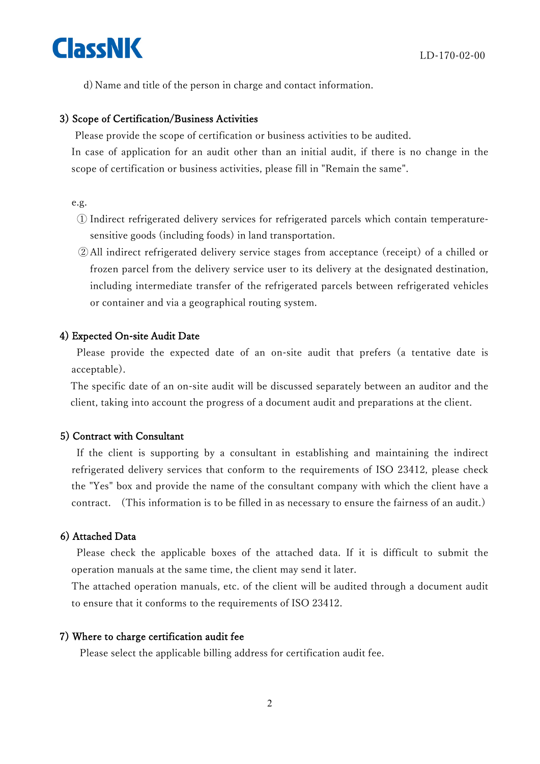ClassNK

d) Name and title of the person in charge and contact information.

#### 3) Scope of Certification/Business Activities

Please provide the scope of certification or business activities to be audited.

In case of application for an audit other than an initial audit, if there is no change in the scope of certification or business activities, please fill in "Remain the same".

e.g.

- ① Indirect refrigerated delivery services for refrigerated parcels which contain temperaturesensitive goods (including foods) in land transportation.
- ②All indirect refrigerated delivery service stages from acceptance (receipt) of a chilled or frozen parcel from the delivery service user to its delivery at the designated destination, including intermediate transfer of the refrigerated parcels between refrigerated vehicles or container and via a geographical routing system.

#### 4) Expected On-site Audit Date

Please provide the expected date of an on-site audit that prefers (a tentative date is acceptable).

The specific date of an on-site audit will be discussed separately between an auditor and the client, taking into account the progress of a document audit and preparations at the client.

#### 5) Contract with Consultant

If the client is supporting by a consultant in establishing and maintaining the indirect refrigerated delivery services that conform to the requirements of ISO 23412, please check the "Yes" box and provide the name of the consultant company with which the client have a contract. (This information is to be filled in as necessary to ensure the fairness of an audit.)

#### 6) Attached Data

Please check the applicable boxes of the attached data. If it is difficult to submit the operation manuals at the same time, the client may send it later.

The attached operation manuals, etc. of the client will be audited through a document audit to ensure that it conforms to the requirements of ISO 23412.

#### 7) Where to charge certification audit fee

Please select the applicable billing address for certification audit fee.